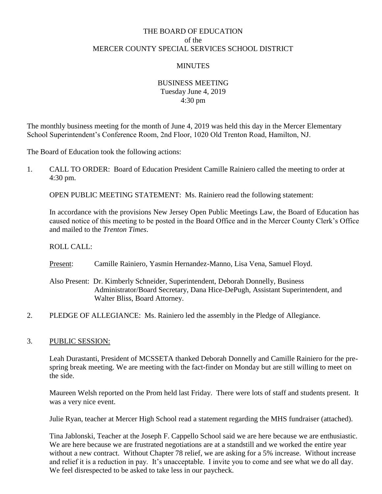# THE BOARD OF EDUCATION of the MERCER COUNTY SPECIAL SERVICES SCHOOL DISTRICT

## MINUTES

## BUSINESS MEETING Tuesday June 4, 2019 4:30 pm

The monthly business meeting for the month of June 4, 2019 was held this day in the Mercer Elementary School Superintendent's Conference Room, 2nd Floor, 1020 Old Trenton Road, Hamilton, NJ.

The Board of Education took the following actions:

1. CALL TO ORDER: Board of Education President Camille Rainiero called the meeting to order at 4:30 pm.

OPEN PUBLIC MEETING STATEMENT: Ms. Rainiero read the following statement:

In accordance with the provisions New Jersey Open Public Meetings Law, the Board of Education has caused notice of this meeting to be posted in the Board Office and in the Mercer County Clerk's Office and mailed to the *Trenton Times*.

ROLL CALL:

Present: Camille Rainiero, Yasmin Hernandez-Manno, Lisa Vena, Samuel Floyd.

- Also Present: Dr. Kimberly Schneider, Superintendent, Deborah Donnelly, Business Administrator/Board Secretary, Dana Hice-DePugh, Assistant Superintendent, and Walter Bliss, Board Attorney.
- 2. PLEDGE OF ALLEGIANCE: Ms. Rainiero led the assembly in the Pledge of Allegiance.

## 3. PUBLIC SESSION:

Leah Durastanti, President of MCSSETA thanked Deborah Donnelly and Camille Rainiero for the prespring break meeting. We are meeting with the fact-finder on Monday but are still willing to meet on the side.

Maureen Welsh reported on the Prom held last Friday. There were lots of staff and students present. It was a very nice event.

Julie Ryan, teacher at Mercer High School read a statement regarding the MHS fundraiser (attached).

Tina Jablonski, Teacher at the Joseph F. Cappello School said we are here because we are enthusiastic. We are here because we are frustrated negotiations are at a standstill and we worked the entire year without a new contract. Without Chapter 78 relief, we are asking for a 5% increase. Without increase and relief it is a reduction in pay. It's unacceptable. I invite you to come and see what we do all day. We feel disrespected to be asked to take less in our paycheck.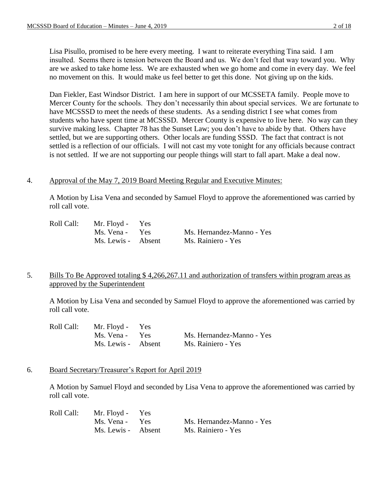Lisa Pisullo, promised to be here every meeting. I want to reiterate everything Tina said. I am insulted. Seems there is tension between the Board and us. We don't feel that way toward you. Why are we asked to take home less. We are exhausted when we go home and come in every day. We feel no movement on this. It would make us feel better to get this done. Not giving up on the kids.

Dan Fiekler, East Windsor District. I am here in support of our MCSSETA family. People move to Mercer County for the schools. They don't necessarily thin about special services. We are fortunate to have MCSSSD to meet the needs of these students. As a sending district I see what comes from students who have spent time at MCSSSD. Mercer County is expensive to live here. No way can they survive making less. Chapter 78 has the Sunset Law; you don't have to abide by that. Others have settled, but we are supporting others. Other locals are funding SSSD. The fact that contract is not settled is a reflection of our officials. I will not cast my vote tonight for any officials because contract is not settled. If we are not supporting our people things will start to fall apart. Make a deal now.

## 4. Approval of the May 7, 2019 Board Meeting Regular and Executive Minutes:

A Motion by Lisa Vena and seconded by Samuel Floyd to approve the aforementioned was carried by roll call vote.

| Roll Call: | Mr. Floyd - Yes    |                           |
|------------|--------------------|---------------------------|
|            | Ms. Vena - Yes     | Ms. Hernandez-Manno - Yes |
|            | Ms. Lewis - Absent | Ms. Rainiero - Yes        |

## 5. Bills To Be Approved totaling \$ 4,266,267.11 and authorization of transfers within program areas as approved by the Superintendent

A Motion by Lisa Vena and seconded by Samuel Floyd to approve the aforementioned was carried by roll call vote.

| Roll Call: | Mr. Floyd - Yes    |                           |
|------------|--------------------|---------------------------|
|            | Ms. Vena - Yes     | Ms. Hernandez-Manno - Yes |
|            | Ms. Lewis - Absent | Ms. Rainiero - Yes        |

## 6. Board Secretary/Treasurer's Report for April 2019

A Motion by Samuel Floyd and seconded by Lisa Vena to approve the aforementioned was carried by roll call vote.

| Roll Call: | Mr. Floyd - Yes    |                           |
|------------|--------------------|---------------------------|
|            | Ms. Vena - Yes     | Ms. Hernandez-Manno - Yes |
|            | Ms. Lewis - Absent | Ms. Rainiero - Yes        |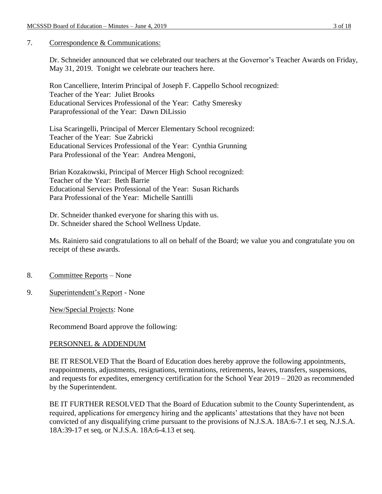## 7. Correspondence & Communications:

Dr. Schneider announced that we celebrated our teachers at the Governor's Teacher Awards on Friday, May 31, 2019. Tonight we celebrate our teachers here.

Ron Cancelliere, Interim Principal of Joseph F. Cappello School recognized: Teacher of the Year: Juliet Brooks Educational Services Professional of the Year: Cathy Smeresky Paraprofessional of the Year: Dawn DiLissio

Lisa Scaringelli, Principal of Mercer Elementary School recognized: Teacher of the Year: Sue Zabricki Educational Services Professional of the Year: Cynthia Grunning Para Professional of the Year: Andrea Mengoni,

Brian Kozakowski, Principal of Mercer High School recognized: Teacher of the Year: Beth Barrie Educational Services Professional of the Year: Susan Richards Para Professional of the Year: Michelle Santilli

Dr. Schneider thanked everyone for sharing this with us. Dr. Schneider shared the School Wellness Update.

Ms. Rainiero said congratulations to all on behalf of the Board; we value you and congratulate you on receipt of these awards.

- 8. Committee Reports None
- 9. Superintendent's Report None

New/Special Projects: None

Recommend Board approve the following:

## PERSONNEL & ADDENDUM

BE IT RESOLVED That the Board of Education does hereby approve the following appointments, reappointments, adjustments, resignations, terminations, retirements, leaves, transfers, suspensions, and requests for expedites, emergency certification for the School Year 2019 – 2020 as recommended by the Superintendent.

BE IT FURTHER RESOLVED That the Board of Education submit to the County Superintendent, as required, applications for emergency hiring and the applicants' attestations that they have not been convicted of any disqualifying crime pursuant to the provisions of N.J.S.A. 18A:6-7.1 et seq, N.J.S.A. 18A:39-17 et seq, or N.J.S.A. 18A:6-4.13 et seq.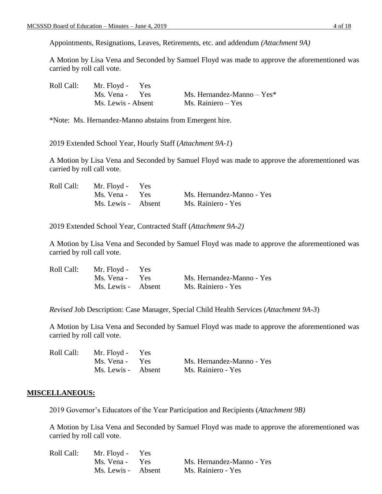Appointments, Resignations, Leaves, Retirements, etc. and addendum *(Attachment 9A)*

A Motion by Lisa Vena and Seconded by Samuel Floyd was made to approve the aforementioned was carried by roll call vote.

| Roll Call: | Mr. Floyd - Yes    |                              |
|------------|--------------------|------------------------------|
|            | Ms. Vena - Yes     | Ms. Hernandez-Manno $-$ Yes* |
|            | Ms. Lewis - Absent | Ms. Rainiero – Yes           |

\*Note: Ms. Hernandez-Manno abstains from Emergent hire.

2019 Extended School Year, Hourly Staff (*Attachment 9A-1*)

A Motion by Lisa Vena and Seconded by Samuel Floyd was made to approve the aforementioned was carried by roll call vote.

| Roll Call: | Mr. Floyd - Yes    |                           |
|------------|--------------------|---------------------------|
|            | Ms. Vena - Yes     | Ms. Hernandez-Manno - Yes |
|            | Ms. Lewis - Absent | Ms. Rainiero - Yes        |

2019 Extended School Year, Contracted Staff (*Attachment 9A-2)*

A Motion by Lisa Vena and Seconded by Samuel Floyd was made to approve the aforementioned was carried by roll call vote.

| Roll Call: | Mr. Floyd - Yes    |                           |
|------------|--------------------|---------------------------|
|            | Ms. Vena - Yes     | Ms. Hernandez-Manno - Yes |
|            | Ms. Lewis - Absent | Ms. Rainiero - Yes        |

*Revised* Job Description: Case Manager, Special Child Health Services (*Attachment 9A-3*)

A Motion by Lisa Vena and Seconded by Samuel Floyd was made to approve the aforementioned was carried by roll call vote.

| Roll Call: | Mr. Floyd - Yes    |                           |
|------------|--------------------|---------------------------|
|            | Ms. Vena - Yes     | Ms. Hernandez-Manno - Yes |
|            | Ms. Lewis - Absent | Ms. Rainiero - Yes        |

### **MISCELLANEOUS:**

2019 Governor's Educators of the Year Participation and Recipients (*Attachment 9B)* 

| Roll Call: | Mr. Floyd - Yes    |                           |
|------------|--------------------|---------------------------|
|            | Ms. Vena - Yes     | Ms. Hernandez-Manno - Yes |
|            | Ms. Lewis - Absent | Ms. Rainiero - Yes        |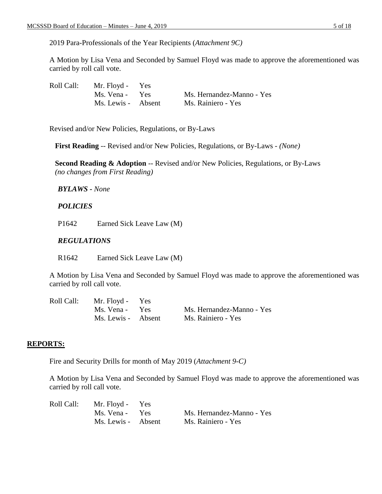2019 Para-Professionals of the Year Recipients (*Attachment 9C)*

A Motion by Lisa Vena and Seconded by Samuel Floyd was made to approve the aforementioned was carried by roll call vote.

| Roll Call: | Mr. Floyd - Yes    |                           |
|------------|--------------------|---------------------------|
|            | Ms. Vena - Yes     | Ms. Hernandez-Manno - Yes |
|            | Ms. Lewis - Absent | Ms. Rainiero - Yes        |

Revised and/or New Policies, Regulations, or By-Laws

 **First Reading** -- Revised and/or New Policies, Regulations, or By-Laws - *(None)*

 **Second Reading & Adoption** -- Revised and/or New Policies, Regulations, or By-Laws  *(no changes from First Reading)*

## *BYLAWS - None*

## *POLICIES*

P1642 Earned Sick Leave Law (M)

## *REGULATIONS*

R1642 Earned Sick Leave Law (M)

A Motion by Lisa Vena and Seconded by Samuel Floyd was made to approve the aforementioned was carried by roll call vote.

| Roll Call: | Mr. Floyd - Yes    |                           |
|------------|--------------------|---------------------------|
|            | Ms. Vena - Yes     | Ms. Hernandez-Manno - Yes |
|            | Ms. Lewis - Absent | Ms. Rainiero - Yes        |

## **REPORTS:**

Fire and Security Drills for month of May 2019 (*Attachment 9-C)*

| Roll Call: | Mr. Floyd - Yes    |                           |
|------------|--------------------|---------------------------|
|            | Ms. Vena - Yes     | Ms. Hernandez-Manno - Yes |
|            | Ms. Lewis - Absent | Ms. Rainiero - Yes        |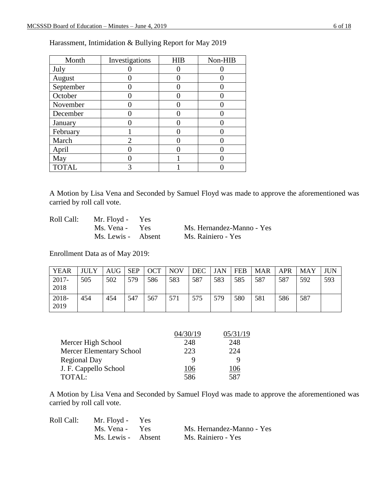| Month        | Investigations | HIB | Non-HIB |
|--------------|----------------|-----|---------|
| July         |                |     |         |
| August       |                |     |         |
| September    |                |     |         |
| October      |                |     |         |
| November     |                |     |         |
| December     |                |     |         |
| January      |                |     |         |
| February     |                |     |         |
| March        |                |     |         |
| April        |                |     |         |
| May          |                |     |         |
| <b>TOTAL</b> |                |     |         |

Harassment, Intimidation & Bullying Report for May 2019

A Motion by Lisa Vena and Seconded by Samuel Floyd was made to approve the aforementioned was carried by roll call vote.

Roll Call: Mr. Floyd - Yes

Ms. Vena - Yes Ms. Hernandez-Manno - Yes Ms. Lewis - Absent Ms. Rainiero - Yes

Enrollment Data as of May 2019:

| <b>YEAR</b>   | <b>JULY</b> | <b>AUG</b> | <b>SEP</b> | <b>OCT</b> | <b>NOV</b> | <b>DEC</b> | JAN | <b>FEB</b> | <b>MAR</b> | <b>APR</b> | MAY | JUN |
|---------------|-------------|------------|------------|------------|------------|------------|-----|------------|------------|------------|-----|-----|
| 2017-<br>2018 | 505         | 502        | 579        | 586        | 583        | 587        | 583 | 585        | 587        | 587        | 592 | 593 |
| 2018-<br>2019 | 454         | 454        | 547        | 567        | 571        | 575        | 579 | 580        | 581        | 586        | 587 |     |

|                          | )4/30/19 | 05/31/19 |
|--------------------------|----------|----------|
| Mercer High School       | 248      | 248      |
| Mercer Elementary School | 223      | 224      |
| <b>Regional Day</b>      |          | 9        |
| J. F. Cappello School    | 106      | 06       |
| <b>TOTAL:</b>            | 586      | 587      |

| Roll Call: | Mr. Floyd - Yes    |                           |
|------------|--------------------|---------------------------|
|            | Ms. Vena - Yes     | Ms. Hernandez-Manno - Yes |
|            | Ms. Lewis - Absent | Ms. Rainiero - Yes        |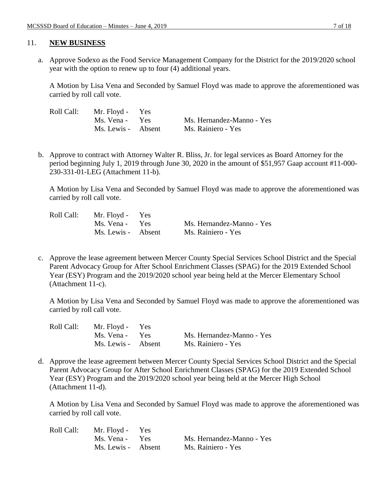#### 11. **NEW BUSINESS**

a. Approve Sodexo as the Food Service Management Company for the District for the 2019/2020 school year with the option to renew up to four (4) additional years.

A Motion by Lisa Vena and Seconded by Samuel Floyd was made to approve the aforementioned was carried by roll call vote.

| Roll Call: | Mr. Floyd - Yes    |                           |
|------------|--------------------|---------------------------|
|            | Ms. Vena - Yes     | Ms. Hernandez-Manno - Yes |
|            | Ms. Lewis - Absent | Ms. Rainiero - Yes        |

b. Approve to contract with Attorney Walter R. Bliss, Jr. for legal services as Board Attorney for the period beginning July 1, 2019 through June 30, 2020 in the amount of \$51,957 Gaap account #11-000- 230-331-01-LEG (Attachment 11-b).

A Motion by Lisa Vena and Seconded by Samuel Floyd was made to approve the aforementioned was carried by roll call vote.

| Roll Call: | Mr. Floyd - Yes    |                           |
|------------|--------------------|---------------------------|
|            | Ms. Vena - Yes     | Ms. Hernandez-Manno - Yes |
|            | Ms. Lewis - Absent | Ms. Rainiero - Yes        |

c. Approve the lease agreement between Mercer County Special Services School District and the Special Parent Advocacy Group for After School Enrichment Classes (SPAG) for the 2019 Extended School Year (ESY) Program and the 2019/2020 school year being held at the Mercer Elementary School (Attachment 11-c).

A Motion by Lisa Vena and Seconded by Samuel Floyd was made to approve the aforementioned was carried by roll call vote.

| Roll Call: | Mr. Floyd - Yes    |                           |
|------------|--------------------|---------------------------|
|            | Ms. Vena - Yes     | Ms. Hernandez-Manno - Yes |
|            | Ms. Lewis - Absent | Ms. Rainiero - Yes        |

d. Approve the lease agreement between Mercer County Special Services School District and the Special Parent Advocacy Group for After School Enrichment Classes (SPAG) for the 2019 Extended School Year (ESY) Program and the 2019/2020 school year being held at the Mercer High School (Attachment 11-d).

| Roll Call: | Mr. Floyd - Yes    |                           |
|------------|--------------------|---------------------------|
|            | Ms. Vena - Yes     | Ms. Hernandez-Manno - Yes |
|            | Ms. Lewis - Absent | Ms. Rainiero - Yes        |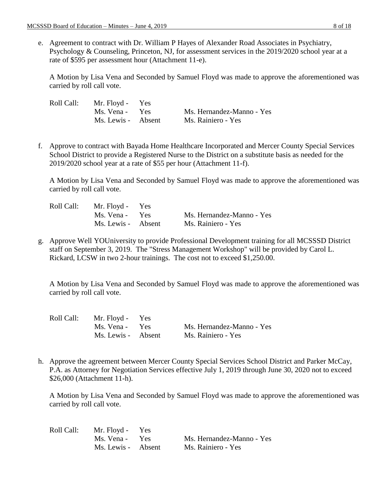e. Agreement to contract with Dr. William P Hayes of Alexander Road Associates in Psychiatry, Psychology & Counseling, Princeton, NJ, for assessment services in the 2019/2020 school year at a rate of \$595 per assessment hour (Attachment 11-e).

A Motion by Lisa Vena and Seconded by Samuel Floyd was made to approve the aforementioned was carried by roll call vote.

| Roll Call: | Mr. Floyd - Yes    |                           |
|------------|--------------------|---------------------------|
|            | Ms. Vena - Yes     | Ms. Hernandez-Manno - Yes |
|            | Ms. Lewis - Absent | Ms. Rainiero - Yes        |

f. Approve to contract with Bayada Home Healthcare Incorporated and Mercer County Special Services School District to provide a Registered Nurse to the District on a substitute basis as needed for the 2019/2020 school year at a rate of \$55 per hour (Attachment 11-f).

A Motion by Lisa Vena and Seconded by Samuel Floyd was made to approve the aforementioned was carried by roll call vote.

| Roll Call: | Mr. Floyd - Yes    |                           |
|------------|--------------------|---------------------------|
|            | Ms. Vena - Yes     | Ms. Hernandez-Manno - Yes |
|            | Ms. Lewis - Absent | Ms. Rainiero - Yes        |

g. Approve Well YOUniversity to provide Professional Development training for all MCSSSD District staff on September 3, 2019. The "Stress Management Workshop" will be provided by Carol L. Rickard, LCSW in two 2-hour trainings. The cost not to exceed \$1,250.00.

A Motion by Lisa Vena and Seconded by Samuel Floyd was made to approve the aforementioned was carried by roll call vote.

| Roll Call: | Mr. Floyd - Yes    |                           |
|------------|--------------------|---------------------------|
|            | Ms. Vena - Yes     | Ms. Hernandez-Manno - Yes |
|            | Ms. Lewis - Absent | Ms. Rainiero - Yes        |

h. Approve the agreement between Mercer County Special Services School District and Parker McCay, P.A. as Attorney for Negotiation Services effective July 1, 2019 through June 30, 2020 not to exceed \$26,000 (Attachment 11-h).

| Roll Call: | Mr. Floyd - Yes    |                           |
|------------|--------------------|---------------------------|
|            | Ms. Vena - Yes     | Ms. Hernandez-Manno - Yes |
|            | Ms. Lewis - Absent | Ms. Rainiero - Yes        |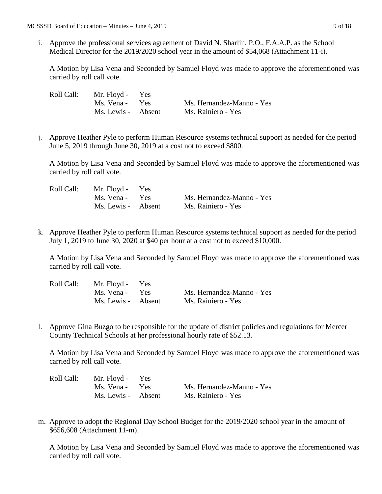i. Approve the professional services agreement of David N. Sharlin, P.O., F.A.A.P. as the School Medical Director for the 2019/2020 school year in the amount of \$54,068 (Attachment 11-i).

A Motion by Lisa Vena and Seconded by Samuel Floyd was made to approve the aforementioned was carried by roll call vote.

| Roll Call: | Mr. Floyd - Yes    |                           |
|------------|--------------------|---------------------------|
|            | Ms. Vena - Yes     | Ms. Hernandez-Manno - Yes |
|            | Ms. Lewis - Absent | Ms. Rainiero - Yes        |

j. Approve Heather Pyle to perform Human Resource systems technical support as needed for the period June 5, 2019 through June 30, 2019 at a cost not to exceed \$800.

A Motion by Lisa Vena and Seconded by Samuel Floyd was made to approve the aforementioned was carried by roll call vote.

| Roll Call: | Mr. Floyd - Yes    |                           |
|------------|--------------------|---------------------------|
|            | Ms. Vena - Yes     | Ms. Hernandez-Manno - Yes |
|            | Ms. Lewis - Absent | Ms. Rainiero - Yes        |

k. Approve Heather Pyle to perform Human Resource systems technical support as needed for the period July 1, 2019 to June 30, 2020 at \$40 per hour at a cost not to exceed \$10,000.

A Motion by Lisa Vena and Seconded by Samuel Floyd was made to approve the aforementioned was carried by roll call vote.

| Roll Call: | Mr. Floyd - Yes    |                           |
|------------|--------------------|---------------------------|
|            | Ms. Vena - Yes     | Ms. Hernandez-Manno - Yes |
|            | Ms. Lewis - Absent | Ms. Rainiero - Yes        |

l. Approve Gina Buzgo to be responsible for the update of district policies and regulations for Mercer County Technical Schools at her professional hourly rate of \$52.13.

A Motion by Lisa Vena and Seconded by Samuel Floyd was made to approve the aforementioned was carried by roll call vote.

| Roll Call: | Mr. Floyd - Yes    |                           |
|------------|--------------------|---------------------------|
|            | Ms. Vena - Yes     | Ms. Hernandez-Manno - Yes |
|            | Ms. Lewis - Absent | Ms. Rainiero - Yes        |

m. Approve to adopt the Regional Day School Budget for the 2019/2020 school year in the amount of \$656,608 (Attachment 11-m).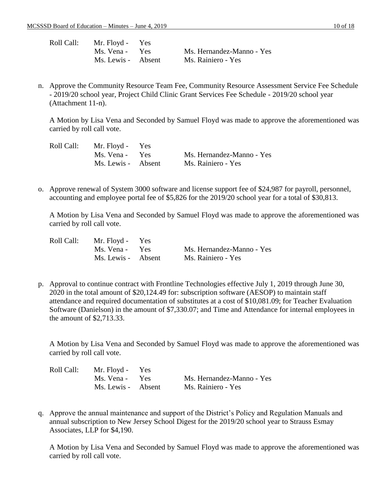| Roll Call: | Mr. Floyd - Yes    |                           |
|------------|--------------------|---------------------------|
|            | Ms. Vena - Yes     | Ms. Hernandez-Manno - Yes |
|            | Ms. Lewis - Absent | Ms. Rainiero - Yes        |

n. Approve the Community Resource Team Fee, Community Resource Assessment Service Fee Schedule - 2019/20 school year, Project Child Clinic Grant Services Fee Schedule - 2019/20 school year (Attachment 11-n).

A Motion by Lisa Vena and Seconded by Samuel Floyd was made to approve the aforementioned was carried by roll call vote.

| Roll Call: | Mr. Floyd - Yes    |                           |
|------------|--------------------|---------------------------|
|            | Ms. Vena - Yes     | Ms. Hernandez-Manno - Yes |
|            | Ms. Lewis - Absent | Ms. Rainiero - Yes        |

o. Approve renewal of System 3000 software and license support fee of \$24,987 for payroll, personnel, accounting and employee portal fee of \$5,826 for the 2019/20 school year for a total of \$30,813.

A Motion by Lisa Vena and Seconded by Samuel Floyd was made to approve the aforementioned was carried by roll call vote.

| Roll Call: | Mr. Floyd - Yes    |                           |
|------------|--------------------|---------------------------|
|            | Ms. Vena - Yes     | Ms. Hernandez-Manno - Yes |
|            | Ms. Lewis - Absent | Ms. Rainiero - Yes        |

p. Approval to continue contract with Frontline Technologies effective July 1, 2019 through June 30, 2020 in the total amount of \$20,124.49 for: subscription software (AESOP) to maintain staff attendance and required documentation of substitutes at a cost of \$10,081.09; for Teacher Evaluation Software (Danielson) in the amount of \$7,330.07; and Time and Attendance for internal employees in the amount of \$2,713.33.

A Motion by Lisa Vena and Seconded by Samuel Floyd was made to approve the aforementioned was carried by roll call vote.

| Roll Call: | Mr. Floyd - Yes    |                           |
|------------|--------------------|---------------------------|
|            | Ms. Vena - Yes     | Ms. Hernandez-Manno - Yes |
|            | Ms. Lewis - Absent | Ms. Rainiero - Yes        |

q. Approve the annual maintenance and support of the District's Policy and Regulation Manuals and annual subscription to New Jersey School Digest for the 2019/20 school year to Strauss Esmay Associates, LLP for \$4,190.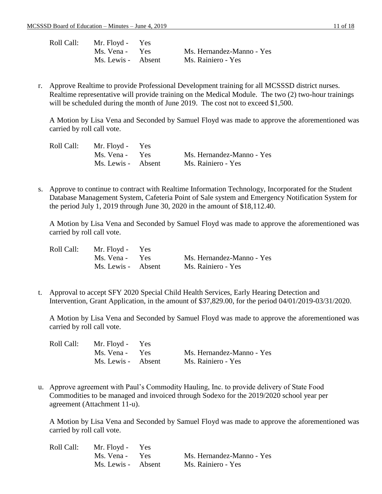| Roll Call: | Mr. Floyd - Yes    |                           |
|------------|--------------------|---------------------------|
|            | Ms. Vena - Yes     | Ms. Hernandez-Manno - Yes |
|            | Ms. Lewis - Absent | Ms. Rainiero - Yes        |

r. Approve Realtime to provide Professional Development training for all MCSSSD district nurses. Realtime representative will provide training on the Medical Module. The two (2) two-hour trainings will be scheduled during the month of June 2019. The cost not to exceed \$1,500.

A Motion by Lisa Vena and Seconded by Samuel Floyd was made to approve the aforementioned was carried by roll call vote.

| Roll Call: | Mr. Floyd - Yes    |                           |
|------------|--------------------|---------------------------|
|            | Ms. Vena - Yes     | Ms. Hernandez-Manno - Yes |
|            | Ms. Lewis - Absent | Ms. Rainiero - Yes        |

s. Approve to continue to contract with Realtime Information Technology, Incorporated for the Student Database Management System, Cafeteria Point of Sale system and Emergency Notification System for the period July 1, 2019 through June 30, 2020 in the amount of \$18,112.40.

A Motion by Lisa Vena and Seconded by Samuel Floyd was made to approve the aforementioned was carried by roll call vote.

| Roll Call: | Mr. Floyd - Yes    |                           |
|------------|--------------------|---------------------------|
|            | Ms. Vena - Yes     | Ms. Hernandez-Manno - Yes |
|            | Ms. Lewis - Absent | Ms. Rainiero - Yes        |

t. Approval to accept SFY 2020 Special Child Health Services, Early Hearing Detection and Intervention, Grant Application, in the amount of \$37,829.00, for the period 04/01/2019-03/31/2020.

A Motion by Lisa Vena and Seconded by Samuel Floyd was made to approve the aforementioned was carried by roll call vote.

| Roll Call: | Mr. Floyd - Yes    |                           |
|------------|--------------------|---------------------------|
|            | Ms. Vena - Yes     | Ms. Hernandez-Manno - Yes |
|            | Ms. Lewis - Absent | Ms. Rainiero - Yes        |

u. Approve agreement with Paul's Commodity Hauling, Inc. to provide delivery of State Food Commodities to be managed and invoiced through Sodexo for the 2019/2020 school year per agreement (Attachment 11-u).

| Roll Call: | Mr. Floyd - Yes    |                           |
|------------|--------------------|---------------------------|
|            | Ms. Vena - Yes     | Ms. Hernandez-Manno - Yes |
|            | Ms. Lewis - Absent | Ms. Rainiero - Yes        |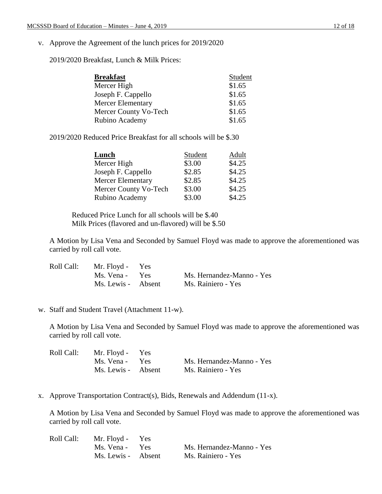v. Approve the Agreement of the lunch prices for 2019/2020

2019/2020 Breakfast, Lunch & Milk Prices:

| <b>Breakfast</b>         | Student |
|--------------------------|---------|
| Mercer High              | \$1.65  |
| Joseph F. Cappello       | \$1.65  |
| <b>Mercer Elementary</b> | \$1.65  |
| Mercer County Vo-Tech    | \$1.65  |
| Rubino Academy           | \$1.65  |

2019/2020 Reduced Price Breakfast for all schools will be \$.30

| Lunch                    | Student | Adult  |
|--------------------------|---------|--------|
| Mercer High              | \$3.00  | \$4.25 |
| Joseph F. Cappello       | \$2.85  | \$4.25 |
| <b>Mercer Elementary</b> | \$2.85  | \$4.25 |
| Mercer County Vo-Tech    | \$3.00  | \$4.25 |
| Rubino Academy           | \$3.00  | \$4.25 |

Reduced Price Lunch for all schools will be \$.40 Milk Prices (flavored and un-flavored) will be \$.50

A Motion by Lisa Vena and Seconded by Samuel Floyd was made to approve the aforementioned was carried by roll call vote.

| Roll Call: | Mr. Floyd - Yes    |                           |
|------------|--------------------|---------------------------|
|            | Ms. Vena - Yes     | Ms. Hernandez-Manno - Yes |
|            | Ms. Lewis - Absent | Ms. Rainiero - Yes        |

#### w. Staff and Student Travel (Attachment 11-w).

A Motion by Lisa Vena and Seconded by Samuel Floyd was made to approve the aforementioned was carried by roll call vote.

| Roll Call: | Mr. Floyd - Yes    |                           |
|------------|--------------------|---------------------------|
|            | Ms. Vena - Yes     | Ms. Hernandez-Manno - Yes |
|            | Ms. Lewis - Absent | Ms. Rainiero - Yes        |

x. Approve Transportation Contract(s), Bids, Renewals and Addendum (11-x).

| Roll Call: | Mr. Floyd - Yes    |                           |
|------------|--------------------|---------------------------|
|            | Ms. Vena - Yes     | Ms. Hernandez-Manno - Yes |
|            | Ms. Lewis - Absent | Ms. Rainiero - Yes        |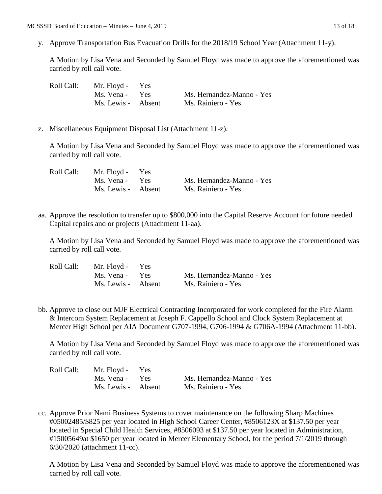y. Approve Transportation Bus Evacuation Drills for the 2018/19 School Year (Attachment 11-y).

A Motion by Lisa Vena and Seconded by Samuel Floyd was made to approve the aforementioned was carried by roll call vote.

| Roll Call: | Mr. Floyd - Yes    |                           |
|------------|--------------------|---------------------------|
|            | Ms. Vena - Yes     | Ms. Hernandez-Manno - Yes |
|            | Ms. Lewis - Absent | Ms. Rainiero - Yes        |

z. Miscellaneous Equipment Disposal List (Attachment 11-z).

A Motion by Lisa Vena and Seconded by Samuel Floyd was made to approve the aforementioned was carried by roll call vote.

| Roll Call: | Mr. Floyd - Yes    |                           |
|------------|--------------------|---------------------------|
|            | Ms. Vena - Yes     | Ms. Hernandez-Manno - Yes |
|            | Ms. Lewis - Absent | Ms. Rainiero - Yes        |

aa. Approve the resolution to transfer up to \$800,000 into the Capital Reserve Account for future needed Capital repairs and or projects (Attachment 11-aa).

A Motion by Lisa Vena and Seconded by Samuel Floyd was made to approve the aforementioned was carried by roll call vote.

| Roll Call: | Mr. Floyd - Yes    |                           |
|------------|--------------------|---------------------------|
|            | Ms. Vena - Yes     | Ms. Hernandez-Manno - Yes |
|            | Ms. Lewis - Absent | Ms. Rainiero - Yes        |

bb. Approve to close out MJF Electrical Contracting Incorporated for work completed for the Fire Alarm & Intercom System Replacement at Joseph F. Cappello School and Clock System Replacement at Mercer High School per AIA Document G707-1994, G706-1994 & G706A-1994 (Attachment 11-bb).

A Motion by Lisa Vena and Seconded by Samuel Floyd was made to approve the aforementioned was carried by roll call vote.

| Roll Call: | Mr. Floyd - Yes    |                           |
|------------|--------------------|---------------------------|
|            | Ms. Vena - Yes     | Ms. Hernandez-Manno - Yes |
|            | Ms. Lewis - Absent | Ms. Rainiero - Yes        |

cc. Approve Prior Nami Business Systems to cover maintenance on the following Sharp Machines #05002485/\$825 per year located in High School Career Center, #8506123X at \$137.50 per year located in Special Child Health Services, #8506093 at \$137.50 per year located in Administration, #15005649at \$1650 per year located in Mercer Elementary School, for the period 7/1/2019 through 6/30/2020 (attachment 11-cc).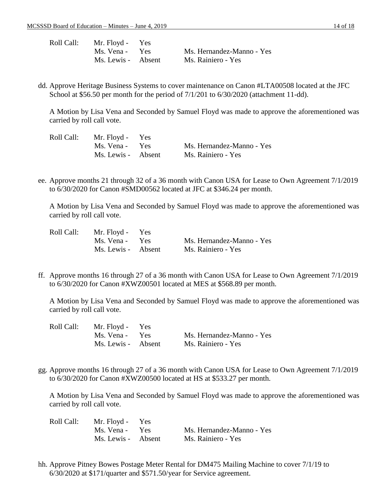| Roll Call: | Mr. Floyd - Yes    |                           |
|------------|--------------------|---------------------------|
|            | Ms. Vena - Yes     | Ms. Hernandez-Manno - Yes |
|            | Ms. Lewis - Absent | Ms. Rainiero - Yes        |

dd. Approve Heritage Business Systems to cover maintenance on Canon #LTA00508 located at the JFC School at \$56.50 per month for the period of 7/1/201 to 6/30/2020 (attachment 11-dd).

A Motion by Lisa Vena and Seconded by Samuel Floyd was made to approve the aforementioned was carried by roll call vote.

| Roll Call: | Mr. Floyd - Yes    |                           |
|------------|--------------------|---------------------------|
|            | Ms. Vena - Yes     | Ms. Hernandez-Manno - Yes |
|            | Ms. Lewis - Absent | Ms. Rainiero - Yes        |

ee. Approve months 21 through 32 of a 36 month with Canon USA for Lease to Own Agreement 7/1/2019 to 6/30/2020 for Canon #SMD00562 located at JFC at \$346.24 per month.

A Motion by Lisa Vena and Seconded by Samuel Floyd was made to approve the aforementioned was carried by roll call vote.

| Roll Call: | Mr. Floyd - Yes    |                           |
|------------|--------------------|---------------------------|
|            | Ms. Vena - Yes     | Ms. Hernandez-Manno - Yes |
|            | Ms. Lewis - Absent | Ms. Rainiero - Yes        |

ff. Approve months 16 through 27 of a 36 month with Canon USA for Lease to Own Agreement 7/1/2019 to 6/30/2020 for Canon #XWZ00501 located at MES at \$568.89 per month.

A Motion by Lisa Vena and Seconded by Samuel Floyd was made to approve the aforementioned was carried by roll call vote.

| Roll Call: | Mr. Floyd - Yes    |                           |
|------------|--------------------|---------------------------|
|            | Ms. Vena - Yes     | Ms. Hernandez-Manno - Yes |
|            | Ms. Lewis - Absent | Ms. Rainiero - Yes        |

gg. Approve months 16 through 27 of a 36 month with Canon USA for Lease to Own Agreement 7/1/2019 to 6/30/2020 for Canon #XWZ00500 located at HS at \$533.27 per month.

A Motion by Lisa Vena and Seconded by Samuel Floyd was made to approve the aforementioned was carried by roll call vote.

| Roll Call: | Mr. Floyd - Yes    |                           |
|------------|--------------------|---------------------------|
|            | Ms. Vena - Yes     | Ms. Hernandez-Manno - Yes |
|            | Ms. Lewis - Absent | Ms. Rainiero - Yes        |

hh. Approve Pitney Bowes Postage Meter Rental for DM475 Mailing Machine to cover 7/1/19 to 6/30/2020 at \$171/quarter and \$571.50/year for Service agreement.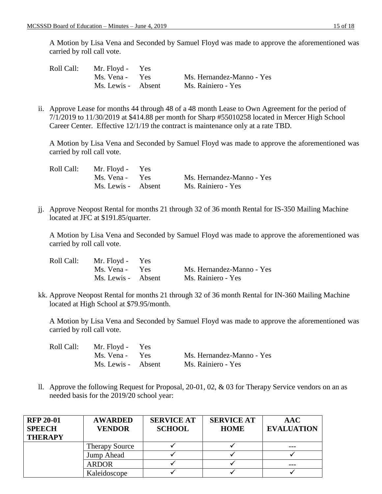A Motion by Lisa Vena and Seconded by Samuel Floyd was made to approve the aforementioned was carried by roll call vote.

| Roll Call: | Mr. Floyd - Yes    |                           |
|------------|--------------------|---------------------------|
|            | Ms. Vena - Yes     | Ms. Hernandez-Manno - Yes |
|            | Ms. Lewis - Absent | Ms. Rainiero - Yes        |

ii. Approve Lease for months 44 through 48 of a 48 month Lease to Own Agreement for the period of 7/1/2019 to 11/30/2019 at \$414.88 per month for Sharp #55010258 located in Mercer High School Career Center. Effective 12/1/19 the contract is maintenance only at a rate TBD.

A Motion by Lisa Vena and Seconded by Samuel Floyd was made to approve the aforementioned was carried by roll call vote.

| Roll Call: | Mr. Floyd - Yes    |                           |
|------------|--------------------|---------------------------|
|            | Ms. Vena - Yes     | Ms. Hernandez-Manno - Yes |
|            | Ms. Lewis - Absent | Ms. Rainiero - Yes        |

jj. Approve Neopost Rental for months 21 through 32 of 36 month Rental for IS-350 Mailing Machine located at JFC at \$191.85/quarter.

A Motion by Lisa Vena and Seconded by Samuel Floyd was made to approve the aforementioned was carried by roll call vote.

| Roll Call: | Mr. Floyd - Yes    |                           |
|------------|--------------------|---------------------------|
|            | Ms. Vena - Yes     | Ms. Hernandez-Manno - Yes |
|            | Ms. Lewis - Absent | Ms. Rainiero - Yes        |

kk. Approve Neopost Rental for months 21 through 32 of 36 month Rental for IN-360 Mailing Machine located at High School at \$79.95/month.

A Motion by Lisa Vena and Seconded by Samuel Floyd was made to approve the aforementioned was carried by roll call vote.

| Roll Call: | Mr. Floyd - Yes    |                           |
|------------|--------------------|---------------------------|
|            | Ms. Vena - Yes     | Ms. Hernandez-Manno - Yes |
|            | Ms. Lewis - Absent | Ms. Rainiero - Yes        |

ll. Approve the following Request for Proposal, 20-01, 02, & 03 for Therapy Service vendors on an as needed basis for the 2019/20 school year:

| <b>RFP 20-01</b><br><b>SPEECH</b><br><b>THERAPY</b> | <b>AWARDED</b><br><b>VENDOR</b> | <b>SERVICE AT</b><br><b>SCHOOL</b> | <b>SERVICE AT</b><br><b>HOME</b> | AAC<br><b>EVALUATION</b> |
|-----------------------------------------------------|---------------------------------|------------------------------------|----------------------------------|--------------------------|
|                                                     | <b>Therapy Source</b>           |                                    |                                  |                          |
|                                                     | Jump Ahead                      |                                    |                                  |                          |
|                                                     | <b>ARDOR</b>                    |                                    |                                  |                          |
|                                                     | Kaleidoscope                    |                                    |                                  |                          |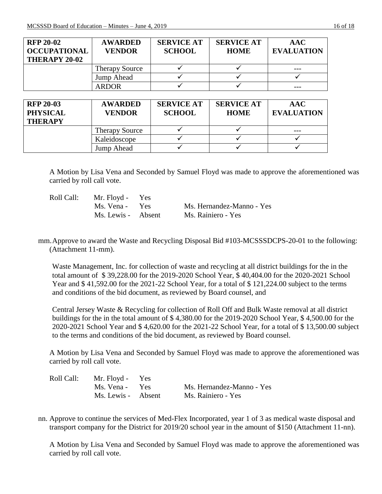| <b>RFP 20-02</b>    | <b>AWARDED</b>        | <b>SERVICE AT</b> | <b>SERVICE AT</b> | <b>AAC</b>        |
|---------------------|-----------------------|-------------------|-------------------|-------------------|
| <b>OCCUPATIONAL</b> | <b>VENDOR</b>         | <b>SCHOOL</b>     | <b>HOME</b>       | <b>EVALUATION</b> |
| THERAPY 20-02       |                       |                   |                   |                   |
|                     | <b>Therapy Source</b> |                   | ✔                 |                   |
|                     | Jump Ahead            |                   |                   |                   |
|                     | <b>ARDOR</b>          |                   |                   |                   |
|                     |                       |                   |                   |                   |
| <b>RFP 20-03</b>    | <b>AWARDED</b>        | <b>SERVICE AT</b> | <b>SERVICE AT</b> | <b>AAC</b>        |
| <b>PHYSICAL</b>     | <b>VENDOR</b>         | <b>SCHOOL</b>     | <b>HOME</b>       | <b>EVALUATION</b> |
| <b>THERAPY</b>      |                       |                   |                   |                   |
|                     | <b>Therapy Source</b> |                   |                   |                   |
|                     | Kaleidoscope          |                   |                   |                   |
|                     | Jump Ahead            |                   |                   |                   |

A Motion by Lisa Vena and Seconded by Samuel Floyd was made to approve the aforementioned was carried by roll call vote.

| Roll Call: | Mr. Floyd - Yes    |                           |
|------------|--------------------|---------------------------|
|            | Ms. Vena - Yes     | Ms. Hernandez-Manno - Yes |
|            | Ms. Lewis - Absent | Ms. Rainiero - Yes        |

mm.Approve to award the Waste and Recycling Disposal Bid #103-MCSSSDCPS-20-01 to the following: (Attachment 11-mm).

Waste Management, Inc. for collection of waste and recycling at all district buildings for the in the total amount of \$ 39,228.00 for the 2019-2020 School Year, \$ 40,404.00 for the 2020-2021 School Year and \$ 41,592.00 for the 2021-22 School Year, for a total of \$ 121,224.00 subject to the terms and conditions of the bid document, as reviewed by Board counsel, and

Central Jersey Waste & Recycling for collection of Roll Off and Bulk Waste removal at all district buildings for the in the total amount of \$ 4,380.00 for the 2019-2020 School Year, \$ 4,500.00 for the 2020-2021 School Year and \$ 4,620.00 for the 2021-22 School Year, for a total of \$ 13,500.00 subject to the terms and conditions of the bid document, as reviewed by Board counsel.

A Motion by Lisa Vena and Seconded by Samuel Floyd was made to approve the aforementioned was carried by roll call vote.

| Roll Call: | Mr. Floyd - Yes    |                           |
|------------|--------------------|---------------------------|
|            | Ms. Vena - Yes     | Ms. Hernandez-Manno - Yes |
|            | Ms. Lewis - Absent | Ms. Rainiero - Yes        |

nn. Approve to continue the services of Med-Flex Incorporated, year 1 of 3 as medical waste disposal and transport company for the District for 2019/20 school year in the amount of \$150 (Attachment 11-nn).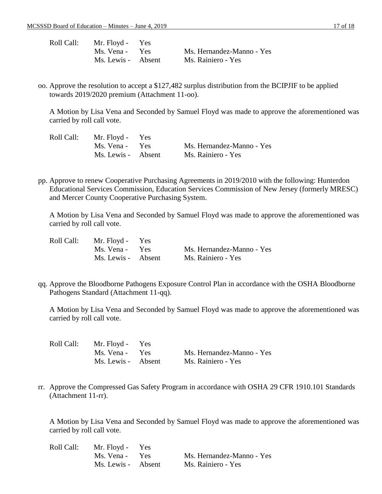| Roll Call: | Mr. Floyd - Yes    |                           |
|------------|--------------------|---------------------------|
|            | Ms. Vena - Yes     | Ms. Hernandez-Manno - Yes |
|            | Ms. Lewis - Absent | Ms. Rainiero - Yes        |

oo. Approve the resolution to accept a \$127,482 surplus distribution from the BCIPJIF to be applied towards 2019/2020 premium (Attachment 11-oo).

A Motion by Lisa Vena and Seconded by Samuel Floyd was made to approve the aforementioned was carried by roll call vote.

| Roll Call: | Mr. Floyd - Yes    |                           |
|------------|--------------------|---------------------------|
|            | Ms. Vena - Yes     | Ms. Hernandez-Manno - Yes |
|            | Ms. Lewis - Absent | Ms. Rainiero - Yes        |

pp. Approve to renew Cooperative Purchasing Agreements in 2019/2010 with the following: Hunterdon Educational Services Commission, Education Services Commission of New Jersey (formerly MRESC) and Mercer County Cooperative Purchasing System.

A Motion by Lisa Vena and Seconded by Samuel Floyd was made to approve the aforementioned was carried by roll call vote.

| Roll Call: | Mr. Floyd - Yes    |                           |
|------------|--------------------|---------------------------|
|            | Ms. Vena - Yes     | Ms. Hernandez-Manno - Yes |
|            | Ms. Lewis - Absent | Ms. Rainiero - Yes        |

qq. Approve the Bloodborne Pathogens Exposure Control Plan in accordance with the OSHA Bloodborne Pathogens Standard (Attachment 11-qq).

A Motion by Lisa Vena and Seconded by Samuel Floyd was made to approve the aforementioned was carried by roll call vote.

| Roll Call: | Mr. Floyd - Yes    |                           |
|------------|--------------------|---------------------------|
|            | Ms. Vena - Yes     | Ms. Hernandez-Manno - Yes |
|            | Ms. Lewis - Absent | Ms. Rainiero - Yes        |

rr. Approve the Compressed Gas Safety Program in accordance with OSHA 29 CFR 1910.101 Standards (Attachment 11-rr).

| Roll Call: | Mr. Floyd - Yes    |                           |
|------------|--------------------|---------------------------|
|            | Ms. Vena - Yes     | Ms. Hernandez-Manno - Yes |
|            | Ms. Lewis - Absent | Ms. Rainiero - Yes        |